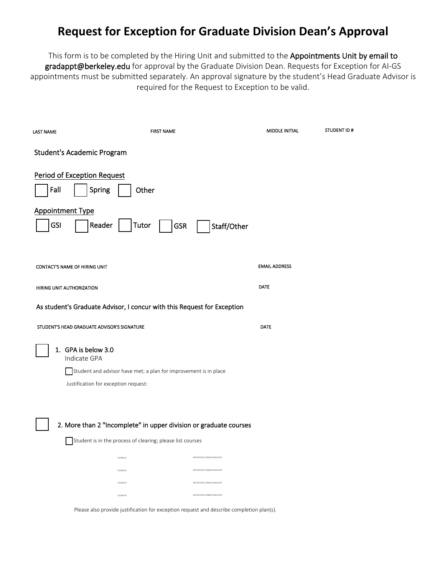# **Request for Exception for Graduate Division Dean's Approval**

This form is to be completed by the Hiring Unit and submitted to the Appointments Unit by email to gradappt@berkeley.edu for approval by the Graduate Division Dean. Requests for Exception for AI-GS appointments must be submitted separately. An approval signature by the student's Head Graduate Advisor is required for the Request to Exception to be valid.

| <b>LAST NAME</b>   | <b>FIRST NAME</b>                                                                                                                               | <b>MIDDLE INITIAL</b> | STUDENT ID# |
|--------------------|-------------------------------------------------------------------------------------------------------------------------------------------------|-----------------------|-------------|
|                    | Student's Academic Program                                                                                                                      |                       |             |
| Fall<br><b>GSI</b> | <b>Period of Exception Request</b><br>Spring<br>Other<br><b>Appointment Type</b><br>Reader<br>Tutor<br><b>GSR</b><br>Staff/Other                |                       |             |
|                    | <b>CONTACT'S NAME OF HIRING UNIT</b>                                                                                                            | <b>EMAIL ADDRESS</b>  |             |
|                    | HIRING UNIT AUTHORIZATION                                                                                                                       | <b>DATE</b>           |             |
|                    | As student's Graduate Advisor, I concur with this Request for Exception                                                                         |                       |             |
|                    | STUDENT'S HEAD GRADUATE ADVISOR'S SIGNATURE                                                                                                     | DATE                  |             |
|                    | 1. GPA is below 3.0<br>Indicate GPA<br>Student and advisor have met; a plan for improvement is in place<br>Justification for exception request: |                       |             |
|                    | 2. More than 2 "Incomplete" in upper division or graduate courses<br>Student is in the process of clearing; please list courses                 |                       |             |
|                    | ANTICIPATED COMPLETION DATE<br>COURSE #                                                                                                         |                       |             |
|                    | ANTICIPATED COMPLETION DATE<br>COURSE #                                                                                                         |                       |             |
|                    | COURSE #<br>ANTICIPATED COMPLETION DATE                                                                                                         |                       |             |
|                    | ANTICIPATED COMPLETION DATE<br>COURSE #                                                                                                         |                       |             |
|                    | Please also provide justification for exception request and describe completion plan(s).                                                        |                       |             |